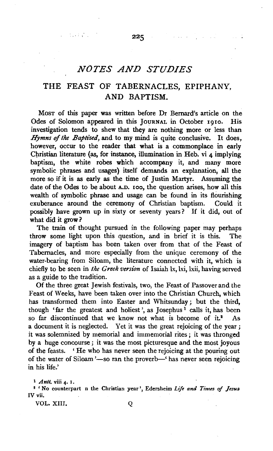# *NOTES AND STUDIES*

**Standard** 

225

## THE FEAST OF TABERNACLES, EPIPHANY, AND BAPTISM.

MosT of this paper was written before Dr Bemard's article on the Odes of Solomon appeared in this JouRNAL in October 1910. His investigation tends to shew that they are nothing more or less than *Hymns of the Baptized,* and to my mind is quite conclusive. It does, however, occur to the reader that what is a commonplace in early Christian literature (as, for instance, illumination in Heb. vi  $\mu$  implying baptism, the white robes which accompany it, and many more symbolic phrases and usages) itself demands an explanation, all the more so if it is as early as the time of Justin Martyr. Assuming the date of the Odes to be about A.D. 100, the question arises, how all this wealth of symbolic phrase and usage can be found in its flourishing exuberance around the ceremony of Christian baptism. Could it possibly have grown up in sixty or seventy years? If it did, out of what did it grow?

The train of thought pursued in the following paper may perhaps throw some light upon this question, and in brief it is this. The imagery of baptism has been taken over from that of the Feast of Tabernacles, and more especially from the unique ceremony of the water-bearing from Siloam, the literature connected with it, which is chiefly to be seen in *the Greek version* of Isaiah lx, lxi, lxii, having served as a guide to the tradition.

Of the three great Jewish festivals, two, the Feast of Passover and the Feast of Weeks, have been taken over into the Christian Church, which has transformed them into Easter and Whitsunday ; but the third, though 'far the greatest and holiest', as  $Josephus<sup>1</sup>$  calls it, has been so far discontinued that we know not what is become of it.<sup>2</sup> As a document it is neglected. Yet it was the great rejoicing of the year; it was solemnized by memorial and immemorial rites ; it was thronged by a huge concourse ; it was the most picturesque and the most joyous of the feasts. ' He who has never seen the rejoicing at the pouring out of the water of Siloam '-so ran the proverb-' has never seen rejoicing in his life.'

<sup>1</sup> *Antt.* viii 4. 1.

! ' No counterpart n the Christian year ', Edersheim *Life and Times of Jesus*  IV vii.

VOL. XIII, Q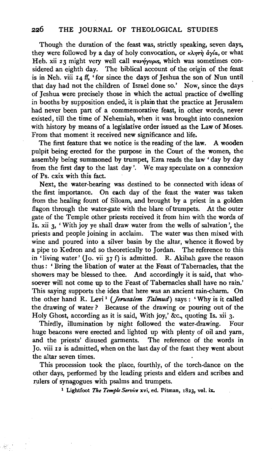Though the duration of the feast was, strictly speaking, seven days, they were followed by a day of holy convocation, or  $\kappa \lambda \eta \tau \eta$  ay{a, or what Heb. xii 23 might very well call  $\pi$ av*riques*, which was sometimes considered an eighth day. The biblical account of the origin of the feast is in Neh. viii  $14$  ff, 'for since the days of Jeshua the son of Nun until that day had not the children of Israel done so.' Now, since the days of Jeshua were precisely those in which the actual practice of dwelling in booths by supposition ended, it is plain that the practice at Jerusalem had never been part of a commemorative feast, in other words, never existed, till the time of Nehemiah, when it was brought into connexion with history by means of a legislative order issued as the Law of Moses. From that moment it received new significance and life.

The first feature that we notice is the reading of the law. A wooden pulpit being erected for the purpose in the Court of the women, the assembly being summoned by trumpet, Ezra reads the law 'day by day from the first day to the last day'. We may speculate on a connexion of Ps. cxix with this fact.

Next, the water-bearing was destined to be connected with ideas of the first importance. On each day of the feast the water was taken from the healing fount of Siloam, and brought by a priest in a golden flagon through the water-gate with the blare of trumpets. At the outer gate of the Temple other priests received it from him with the words of Is. xii 3, ' With joy ye shall draw water from the wells of salvation ', the priests and people joining in acclaim. The water was then mixed with wine and poured into a silver basin by the altar, whence it flowed by a pipe to Kedron and so theoretically to Jordan. The reference to this in 'living water' (Jo. vii 37 f) is admitted. R. Akibah gave the reason thus: 'Bring the libation of water at the Feast of Tabernacles, that the showers may be blessed to thee. And accordingly it is said, that whosoever will not come up to the Feast of Tabernacles shall have no rain.' This saying supports the idea that here was an ancient rain-charm. On the other hand R. Levi 1 *(Jerusalem Talmud)* says : ' Why is it called the drawing of water? Because of the drawing or pouring out of the Holy Ghost, according as it is said, With joy,' &c., quoting Is. xii 3.

Thirdly, illumination by night followed the water-drawing. Four huge beacons were erected and lighted up with plenty of oil and yarn, and the priests' disused garments. The reference of the words in Jo. viii 12 is admitted, when on the last day of the feast they went about the altar seven times.

This procession took the place, fourthly, of the torch-dance on the other days, performed by the leading priests and elders and scribes and rulers of synagogues with psalms and trumpets.

<sup>1</sup> Lightfoot *The Temple Service* xvi, ed. Pitman, 1823, vol. ix.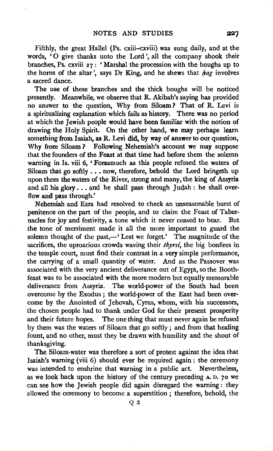Fifthly, the great Hallel (Ps. cxiii-cxviii) was sung daily, and at the words, '0 give thanks unto the Lord', all the company shook their branches, Ps. cxviii 27: 'Marshal the procession with the boughs up to the horns of the altar', says Dr King, and he shews that *{tag* involves a sacred dance.

The use of these branches and the thick boughs will be noticed presently. Meanwbile, we observe that R. Akibah's saying has provided no answer to the question, Why from Siloam? That of R. Levi is a spiritualizing explanation which fails as history. There was no period at which the Jewish people would have been familiar with the notion of drawing the Holy Spirit. On the other hand, we may perhaps learn something from Isaiah, as R. Levi did, by way of answer to our question, Why from Siloam? Following Nehemiah's account we may suppose that the founders of the Feast at that time had before them the solemn warning in Is. viii 6, • Forasmuch as this people refused the waters of Siloam that go softly . , • now, therefore, behold the Lord bringeth up upon them the waters of the River, strong and many, the king of Assyria and all his glory ... and he shall pass through Judah : he shall overflow and pass through.'

Nehemiah and Ezra had resolved to check an unseasonable burst of penitence on the part of the people, and to claim the Feast of Tabernacles for joy and festivity, a tone which it never ceased to bear. But the tone of merriment made it all the more important to guard the solemn thought of the past,— $'$  Lest we forget.' The magnitude of the sacrifices, the uproarious crowds waving their *thyrsi,* the big bonfires in the temple court, must find their contrast in a very simple performance, the carrying of a small quantity of water. And as the Passover was associated with the very ancient deliverance out of Egypt, so the Boothfeast was to be associated with the more modern but equally memorable deliverance from Assyria. The world-power of the South had been overcome by the Exodus ; the world-power of the East had been overcome by the Anointed of Jehovah, Cyrus, whom, with his successors, the chosen people had to thank under God for their present prosperity and their future hopes. The one thing that must never again be refused by them was the waters of Siloam that go softly ; and from that healing fount, and no other, must they be drawn with humility and the shout of thanksgiving.

The Siloam-water was therefore a sort of protest against the idea that Isaiah's warning (viii 6) should ever be required again: the ceremony was intended to enshrine that warning in a public act. Nevertheless, as we look back upon the history of the century preceding A. D. 70 we can see how the Jewish people did again disregard the warning : they allowed the ceremony to become a superstition ; therefore, behold, the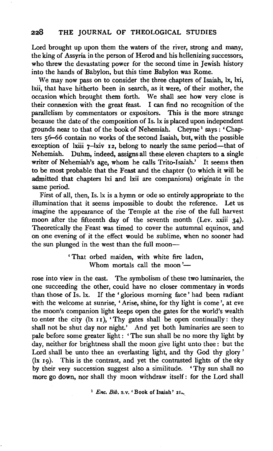Lord brought up upon them the waters of the river, strong and many, the king of Assyria in the person of Herod and his hellenizing successors, who threw the devastating power for the second time in Jewish history into the hands of Babylon, but this time Babylon was Rome.

We may now pass on to consider the three chapters of Isaiah, lx, lxi, lxii, that have hitherto been in search, as it were, of their mother, the occasion which brought them forth. We shall see how very close is their connexion with the great feast. I can find no recognition of the parallelism by commentators or expositors. This is the more strange because the date of the composition of Is. lx is placed upon independent grounds near to that of the book of Nehemiah. Cheyne 1 says: 'Chapters 56-66 contain no works of the second Isaiah, but, with the possible exception of lxiii  $7$ -lxiv 12, belong to nearly the same period-that of Nehemiah. Duhm, indeed, assigns all these eleven chapters to a single writer of Nehemiah's age, whom he calls Trito-Isaiah.' It seems then to be most probable that the Feast and the chapter (to which it will be admitted that chapters lxi and lxii are companions) originate in the same period.

First of all, then, Is. lx is a hymn or ode so entirely appropriate to the illumination that it seems impossible to doubt the reference. Let us imagine the appearance of the Temple at the rise of the full harvest moon after the fifteenth day of the seventh month (Lev. xxiii 34). Theoretically the Feast was timed to cover the autumnal equinox, and on one evening of it the effect would be sublime, when no sooner had the sun plunged in the west than the full moon---

> ' That orbed maiden, with white fire laden, Whom mortals call the moon'-

rose into view in the east. The symbolism of these two luminaries, the one succeeding the other, could have no closer commentary in words than those of Is. lx. If the ' glorious morning face' had been radiant with the welcome at sunrise, 'Arise, shine, for thy light is come', at eve the moon's companion light keeps open the gates for the world's wealth to enter the city  $(\mathbf{x} \mathbf{I})$ , 'Thy gates shall be open continually: they shall not be shut day nor night.' And yet both luminaries are seen to pale before some greater light: 'The sun shall be no more thy light by day, neither for brightness shall the moon give light unto thee: but the Lord shall be unto thee an everlasting light, and thy God thy glory '  $(lx_1q)$ . This is the contrast, and yet the contrasted lights of the sky by their very succession suggest also a similitude. 'Thy sun shall no more go down, nor shall thy moon withdraw itself: for the Lord shall

<sup>1</sup> *Enc. Bib.* s.v. 'Book of Isaiah' 21.,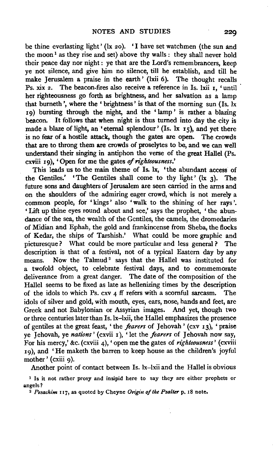be thine everlasting light' (lx 20). 'I have set watchmen (the sun and the moon<sup>1</sup> as they rise and set) above thy walls : they shall never hold their peace day nor night : ye that are the Lord's remembrancers, keep ye not silence, and give him no silence, till he establish, and till he make Jerusalem a praise in the earth' (lxii 6). The thought recalls Ps. xix 2. The beacon-fires also receive a reference in Is. lxii  $r$ , 'until her righteousness go forth as brightness, and her salvation as a lamp that burneth ', where the ' brightness ' is that of the morning sun (Is. lx <sup>I</sup>9) bursting through the night, and the ' lamp ' is rather a blazing beacon. It follows that when night is thus turned into day the city is made a blaze of light, an 'eternal splendour' (Is.  $\vert x \vert$   $\vert x \vert$ ), and yet there is no fear of a hostile attack, though the gates are open. The crowds that are to throng them are crowds of proselytes to be, and we can well understand their singing in antiphon the verse of the great Hallel (Ps. cxviii 19), 'Open for me the gates *of righteousness*.'

This leads us to the main theme of Is. lx, 'the abundant access of the Gentiles.' 'The Gentiles shall come to thy light' (lx 3). The future sons and daughters of Jerusalem are seen carried in the arms and on the shoulders of the admiring eager crowd, which is not merely a common people, for 'kings' also 'walk to the shining of her rays'. ' Lift up thine eyes round about and see,' says the prophet, ' the abundance of the sea, the wealth of the Gentiles, the camels, the dromedaries of Midian and Ephah, the gold and frankincense from Sheba, the flocks of Kedar, the ships of Tarshish.' What could be more graphic and picturesque? What could be more particular and less general ? The description is that of a festival, not of a typical Eastern day by any means. Now the Talmud<sup>2</sup> says that the Hallel was instituted for a twofold object, to celebrate festival days, and to commemorate deliverance from a great danger. The date of the composition of the Hallel seems to be fixed as late as hellenizing times by the description of the idols to which Ps. cxv 4 ff refers with a scornful sarcasm. The idols of silver and gold, with mouth, eyes, ears, nose, hands and feet, are Greek and not Babylonian or Assyrian images. And yet, though two or three centuries later than Is. lx-lxii, the Hallel emphasizes the presence of gentiles at the great feast, 'the *ftarers* of Jehovah' (cxv I3), 'praise ye Jehovah, ye *nations'* (cxvii 1), ' let the *fearers* of Jehovah now say, For his mercy,' &c. (cxviii 4), 'open me the gates of *righteousness'* (cxviii I9), and 'He maketh the barren to keep house as the children's joyful mother ' (cxiii 9).

Another point of contact between Is. lx-lxii and the Hallel is obvious

1 Is it not rather prosy and insipid here to say they are either prophets or angels?

2 *Pesachim* II7, as quoted by Cheyne *Origin of the Psalter* p. 18 note.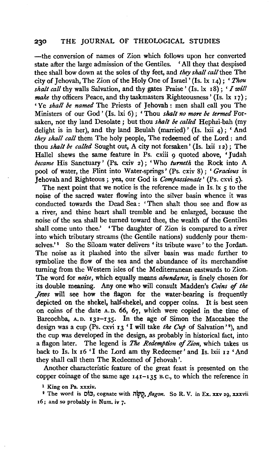-the conversion of names of Zion which follows upon her converted state after the large admission of the Gentiles. ' All they that despised thee shall bow down at the soles of thy feet, and *they shall call* thee The city of Jehovah, The Zion of the Holy One of Israel' (Is. lx I4}; *'Thou shalt call* thy walls Salvation, and thy gates Praise' (Is. lx 18); '*I will make* thy officers Peace, and thy taskmasters Righteousness' (Is. 1x 17); 'Ye *shall be named* The Priests of Jehovah : men shall call you The Ministers of our God ' (Is. lxi 6); 'Thou *slzalt no more be termed* Forsaken, nor thy land Desolate; but thou *slzalt be called* Hephzi-bah (my delight is in her), and thy land Beulah (married)' (Is. lxii  $4$ ); 'And they shall call them The holy people, The redeemed of the Lord : and thou *slzalt be called* Sought out, A city not forsaken' (Is. Ixii 12) ; The Hallel shews the same feature in Ps. cxiii 9 quoted above, 'Judah *became* His Sanctuary' (Ps. cxiv 2); 'Who *turneth* the Rock into A pool of water, the Flint into Water-springs' (Ps. cxiv 8); ' *Gracious* is Jehovah and Righteous; yea, our God is *Compassionate'* (Ps. cxvi 5).

The next point that we notice is the reference made in Is.  $k \leq t$  to the noise of the sacred water flowing into the silver basin whence it was conducted towards the Dead Sea : ' Then shalt thou see and flow as a river, and thine heart shall tremble and be enlarged, because the noise of the sea shall be turned toward thee, the wealth of the Gentiles shall come unto thee.' 'The daughter of Zion is compared to a river into which tributary streams (the Gentile nations) suddenly pour themselves.'<sup>1</sup> So the Siloam water delivers 'its tribute wave' to the Jordan. The noise as it plashed into the silver basin was made further to symbolize the flow of the sea and the abundance of its merchandise turning from the Western isles of the Mediterranean eastwards to Zion. The word for *noise,* which equally means *abundance,* is finely chosen for its double meaning. Any one who will consult Madden's *Coins* of *the Jews* will see how the flagon for the water-bearing is frequently depicted on the shekel, half-shekel, and copper coins. It is best seen on coins of the date A. D. 66, 67, which were copied in the time of Barcochba, A.D. 132-135. In the age of Simon the Maccabee the design was a cup (Ps. cxvi 13 'I will take the Cup of Salvation'<sup>2</sup>), and the cup was developed in the design, as probably in historical fact, into a flagon later. The legend is *The Redemption of Zion,* which takes us back to Is. lx 16 'I the Lord am thy Redeemer' and Is. lxii 12 'And they shall call them The Redeemed of Jehovah'.

Another characteristic feature of the great feast is presented on the copper coinage of the same age  $141-135$  B.C., to which the reference in

1 King on Ps. xxxiv.

<sup>111</sup>The word is Di<sup>3</sup>, cognate with  $\vec{n}$ *ip<sub>p</sub>*, *flagon*. So R. V. in Ex. xxv 29, xxxvii 16; and so probably in Num. iv 7·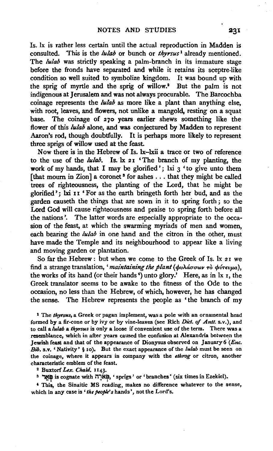Is. lx is rather less certain until the actual reproduction in Madden is consulted. This is the *lulab* or bunch or *thyrsus*<sup>1</sup> already mentioned. The *lulab* was strictly speaking a palm-branch in its immature stage before the fronds have separated and while it retains its sceptre-like condition so well suited to symbolize kingdom. It was bound up with the sprig of myrtle and the sprig of willow.<sup>2</sup> But the palm is not indigenous at Jerusalem and was not always procurable. The Barcochba coinage represents the *lulab* as more like a plant than anything else, with root, leaves, and flowers, not unlike a mangold. resting on a squat base. The coinage of 270 years earlier shews something like the flower of this *lulab* alone, and was conjectured by Madden to represent Aaron's rod, though doubtfully. It is perhaps more likely to represent three sprigs of willow used at the feast.

Now there is in the Hebrew of Is. Ix-lxii a trace or two of reference to the use of the *lulab.* Is. lx 21 'The branch of my planting, the work of my hands, that I may be glorified'; lxi 3 'to give unto them [that mourn in Zion] a coronet<sup>3</sup> for ashes  $\dots$  that they might be called trees of righteousness, the planting of the Lord, that he might be glorified'; lxi II 'For as the earth bringeth forth her bud, and as the garden causeth the things that are sown in it to spring forth ; so the Lord God will cause righteousness and praise to spring forth before all the nations'. The latter words are especially appropriate to the occasion of the feast, at which the swarming myriads of men and women, each bearing the *lulab* in one hand and the citron in the other, must have made the Temple and its neighbourhood to appear like a living and moving garden or plantation.

So far the Hebrew: but when we come to the Greek of Is. Ix 21 we find a strange translation, *'maintaining the plant* ( $\phi v \lambda \phi \sigma \sigma \omega \nu \tau \delta \phi' \tau \epsilon \nu \mu a$ ), the works of its hand (or their hands') unto glory.' Here, as in lx r, the Greek translator seems to be awake to the fitness of the Ode to the occasion, no less than the Hebrew, of which, however, he has changed the sense. The Hebrew represents the people as 'the branch of my

<sup>1</sup> The *thyrsus*, a Greek or pagan implement, was a pole with an ornamental head formed by a fir-cone or by ivy or by vine-leaves (see Rich Diet. *of Antt.* s.v.), and to call a *lulab* a *thyrsus* is only a loose if convenient use of the term. There was a resemblance, which in after years caused the confusion at Alexandria between the Jewish feast and that of the appearance of Dionysus observed on January 6 *(Enc.* Bib. s.v. 'Nativity'§ to). But the exact appearance of the *lulab* must be seen on the coinage, where it appears in company with the *ethrog* or citron, another characteristic emblem of the feast.

2 Buxtorf *Lex. Chald.* II43·

s ~~ is cognate with M1N~, ' sprigs' or 'branches' (six times in Ezekiel).

<sup>4</sup> This, the Sinaitic MS reading, makes no difference whatever to the sense, which in any case is *'the people's* hands •, not the Lord's.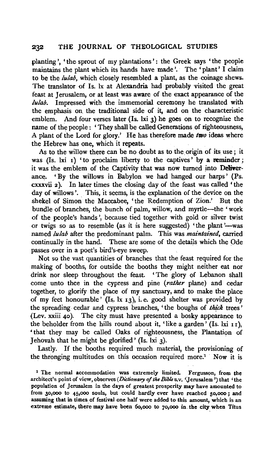planting', 'the sprout of my plantations': the Greek says 'the people maintains the plant which its hands have made'. The 'plant' I claim to be the *lulab*, which closely resembled a plant, as the coinage shews. The translator of Is. lx at Alexandria had probably visited the great feast at Jerusalem, or at least was aware of the exact appearance of the *lulab.* Impressed with the immemorial ceremony he translated with the emphasis on. the traditional side of it, and on the characteristic emblem. And four verses later  $(I_s, I_x, x_i)$  he goes on to recognize the name of the people : 'They shall be called Generations of righteousness, A plant of the Lord for glory.' He has therefore made *two* ideas where the Hebrew has one, which it repeats.

As to the willow there can be no doubt as to the origin of its use; it was (Is.  $\vert$ xi I) 'to proclaim liberty to the captives' by a reminder; it was the emblem of the Captivity that was now turned into Deliverance. 'By the willows in Babylon we had hanged our harps' (Ps. cxxxvii  $2$ ). In later times the closing day of the feast was called 'the day of willows'. This, it seems, is the explanation of the device on the shekel of Simon the Maccabee, 'the Redemption of Zion.' But the bundle of branches, the bunch of palm, willow, and myrtle-the 'work of the people's hands ', because tied together with gold or silver twist or twigs so as to resemble (as it is here suggested) 'the plant'—was named *lulab* after the predominant palm. This was *maintained,* carried continually in the hand. These are some of the details which the Ode passes over in a poet's bird's-eye sweep.

Not so the vast quantities of branches that the feast required for the making of booths, for outside the booths they might neither eat nor drink nor sleep throughout the feast. ' The glory of Lebanon shall come unto thee in the cypress and pine *(rather* plane) and cedar together, to glorify the place of my sanctuary, and to make the place of my feet honourable' (Is. lx  $13$ ), i.e. good shelter was provided by the spreading cedar and cypress branches, 'the boughs of *thick* trees' (Lev. xxiii 40). The city must have presented a bosky appearance to the beholder from the hills round about it, 'like a garden' (Is. lxi II), 'that they may be called Oaks of righteousness, the Plantation of Jehovah that he might be glorified' (Is. lxi 3).

Lastly. If the booths required much material, the provisioning of the thronging multitudes on this occasion required more.<sup>1</sup> Now it is

<sup>1</sup> The normal accommodation was extremely limited. Fergusson, from the architect's point of view, observes *(Dictionary of the Bible* s.v. 'Jerusalem') that 'the population of Jerusalem in the days of greatest prosperity may have amounted to from 30,000 to 45,000 souls, but could hardly ever have reached  $50,000$ ; and assuming that in times of festival one half were added to this amount, which is an extreme estimate, there may have been 6o,ooo to 7o,ooo in. the city when Titus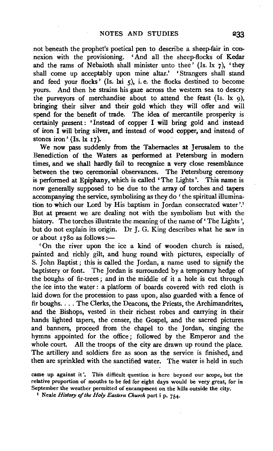not beneath the prophet's poetical pen to describe a sheep-fair in connexion with the provisioning. ' And all the sheep-flocks of Kedar and the rams of Nebaioth shall minister unto thee' (Is. lx  $\tau$ ), 'they shall come up acceptably upon mine altar.' 'Strangers shall stand and feed your flocks' (Is.  $\overline{x}$   $\overline{x}$ ), i.e. the flocks destined to become yours. And then he strains his gaze across the western sea to descry the purveyors of merchandise about to attend the feast  $(Is. 1x 9)$ , bringing their silver and their gold which they will offer and will spend for the benefit of trade. The idea of mercantile prosperity is certainly present : 'Instead of copper I will bring gold and instead of iron I will bring silver, and instead of wood copper, and instead of stones iron' (Is.  $|x_17$ ).

We now pass suddenly from the Tabernacles at Jerusalem to the Benediction of the Waters as performed at Petersburg in modern times, and we shall hardly fail to recognize a very close resemblance between the two ceremonial observances. The Petersburg ceremony is performed at Epiphany, which is called 'The Lights'. This name is now generally supposed to be due to the array of torches and tapers accompanying the service, symbolizing as they do ' the spiritual illumination to which our Lord by His baptism in Jordan consecrated water '.1 But at present we are dealing not with the symbolism but with the history. The torches illustrate the meaning of the name of 'The Lights', but do not explain its origin. Dr J. G. King describes what he saw in or about  $1780$  as follows: $-$ 

' On the river upon the ice a kind of wooden church is raised, painted and richly gilt, and hung round with pictures, especially of S. John Baptist ; this is called the Jordan, a name used to signify the baptistery or font. The Jordan is surrounded by a temporary hedge of the boughs of fir-trees; and in the middle of it a hole is cut through the ice into the water : a platform of boards covered with red cloth is laid down for the procession to pass upon, also guarded with a fence of fir boughs. . . . The Clerks, the Deacons, the Priests, the Archimandrites, and the Bishops, vested in their richest robes and carrying in their hands lighted tapers, the censer, the Gospel, and the sacred pictures and banners, proceed from the chapel to the Jordan, singing the hymns appointed for the office; followed by the Emperor and the whole court. All the troops of the city are drawn up round the place. The artillery and soldiers fire as soon as the service is finished, and then are sprinkled with the sanctified water. The water is held in such

came up against it'. This difficult question is here beyond our scope, but the relative proportion of mouths to be fed for eight days would be very great, for in September the weather permitted of encampment on the hills outside the city.<br><sup>1</sup> Neale *History of the Holy Eastern Church* part i p. 754.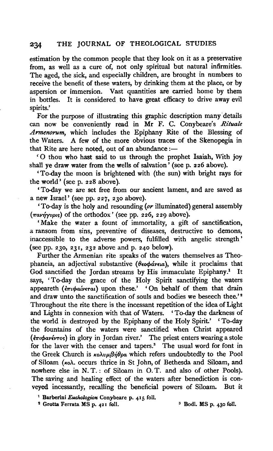estimation by the common people that they look on it as a preservative from, as well as a cure of, not only spiritual but natural infirmities. The aged, the sick, and especially children, are brought in numbers to receive the benefit of these waters, by drinking them at the place, or by aspersion or immersion. Vast quantities are carried home by them in bottles. It is considered to have great efficacy to drive away evil spirits.'

For the purpose of illustrating this graphic description many details can now be conveniently read in Mr F. C. Conybeare's *Rituale Armenorum,* which includes the Epiphany Rite of the Blessing of the Waters. A few of the more obvious traces of the Skenopegia in that Rite are here noted, out of an abundance  $:$ 

' 0 thou who hast said to us through the prophet Isaiah, With joy shall ye draw water from the wells of salvation' (see p. 226 above).

'To-day the moon is brightened with (the sun) with bright rays for the world' (see p. 228 above).

'To-day we are set free from our ancient lament, and are saved as a new Israel' (see pp. 227, 230 above).

'To-day is the holy and resounding *(or* illuminated} general assembly *{'1rav1(yvpts)* of the orthodox' (see pp. 226, 229 above).

'Make the water a fount of immortality, a gift of sanctification, a ransom from sins, preventive of diseases, destructive to demons, inaccessible to the adverse powers, fulfilled with angelic strength' (see pp. 230, 231, 232 above and p. 240 below).

Further the Armenian rite speaks of the waters themselves as Theophaneia, an adjectival substantive (θεοφάνεια), while it proclaims that God sanctified the Jordan streams by His immaculate Epiphany.<sup>1</sup> It says, 'To-day the grace of the Holy Spirit sanctifying the waters appeareth *(* $\epsilon \pi \iota \phi a \iota \nu \epsilon \tau a \iota$ *)* upon these.' 'On behalf of them that drain and draw unto the sanctification of souls and bodies we beseech thee.'<sup>2</sup> Throughout the rite there is the incessant repetition of the idea of Light and Lights in connexion with that of Waters. 'To-day the darkness of the world is destroyed by the Epiphany of the Holy Spirit.' 'To-day the fountains of the waters were sanctified when Christ appeared *(* $\frac{\partial \mathbf{r}}{\partial x}$   $\frac{\partial \mathbf{r}}{\partial y}$  in glory in Jordan river.' The priest enters wearing a stole for the laver with the censer and tapers.<sup>3</sup> The usual word for font in the Greek Church is  $\kappa_0 \lambda_0 \mu \beta \eta \theta_0 \alpha$  which refers undoubtedly to the Pool of Siloam (KoA. occurs thrice in St John, of Bethesda and Siloam, and nowhere else in N. T.: of Siloam in 0. T. and also of other Pools). The saving and healing effect of the waters after benediction is conveyed incessantly, recalling the beneficial powers of Siloam. But it

<sup>1</sup> Barberini *Euchologion* Conybeare p. 415 foll.<br><sup>2</sup> Grotta Ferrata MS p. 421 foll. <sup>3</sup> Bodl. MS p. 430 foll.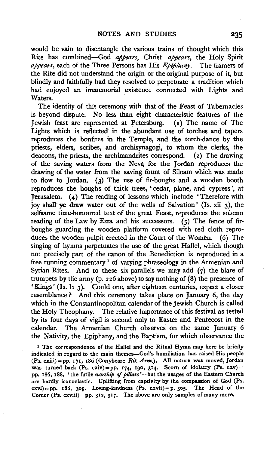would be vain to disentangle the various trains of thought which this Rite has combined-God *appears,* Christ *appears,* the Holy Spirit *appears,* each of the Three Persons. has His *Epiphany.* The framers of the Rite did not understand the origin or the original purpose of it, but blindly and faithfully had they resolved to perpetuate a tradition which had enjoyed an immemorial existence connected with Lights and Waters.

The identity of this ceremony with that of the Feast of Tabernacles is beyond dispute. No less than eight characteristic features of the Jewish feast are represented at Petersburg. (1) The name of The Lights which is reflected in the abundant use of torches and tapers reproduces the bonfires in the Temple, and the torch-dance by the priests, elders, scribes, and archisynagogi, to whom the clerks, the deacons, the priests, the archimandrites correspond. (2) The drawing of the saving waters from the Neva, for the Jordan reproduces the drawing of the water from the saving fount of Siloam which was made to flow to Jordan. (3) The use of fir-boughs and a wooden booth reproduces the boughs of thick trees, 'cedar, plane, and cypress', at Jerusalem. (4) The reading of lessons which include 'Therefore with joy shall ye draw water out of the wells of Salvation' (Is. xii 3), the selfsame time-honoured text of the great Feast, reproduces the solemn reading of the Law by Ezra and his successors.  $(5)$  The fence of firboughs guarding the wooden platform covered with red cloth reproduces the wooden pulpit erected in the Court of the Women. (6) The singing of hymns perpetuates the use of the great Hallel, which though not precisely part of the canon of the Benediction is reproduced in a free running commentary 1 of varying phraseology in the Armenian and Syrian Rites. And to these six parallels we may add (7) the blare of trumpets by the army (p. 226 above) to say nothing of (8) the presence of 'Kings' (Is. lx 3). Could one, after eighteen centuries, expect a closer resemblance? And this ceremony takes place on January 6, the day which in the Constantinopolitan calendar of the Jewish Church is called the Holy Theophany. The relative importance of this festival as tested by its four days of vigil is second only to Easter and Pentecost in the calendar. The Armenian Church observes on the same January 6 the Nativity, the Epiphany, and the Baptism, for which observance the

<sup>1</sup> The correspondence of the Hallel and the Ritual Hymn may here be briefly indicated in regard to the main themes-God's humiliation has raised His people (Ps. cxiii) =pp. I 7I, I86 (Conybeare *Rit. Arm.).* All nature was moved, Jordan was turned back  $(Ps. cxiv) = pp. 174$ , 190, 314. Scorn of idolatry  $(Ps. c xv) =$ pp. 186, 188, 'the futile *worship of pillars'-but* the usages of the Eastern Church are hardly iconoclastic. Uplifting from captivity by the compassion of God (Ps.  $(cxvi) = pp.$  188, 305. Loving-kindness (Ps.  $cxyii$ ) = p. 305. The Head of the Corner (Ps.  $c$ xviii) = pp. 312, 317. The above are only samples of many more.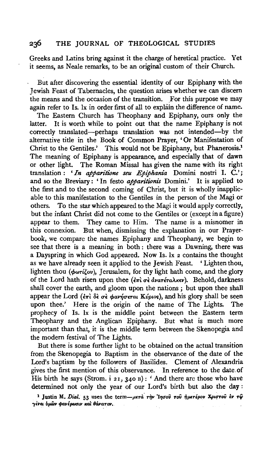Greeks and Latins bring against it the charge of heretical practice. Yet it seems, as Neale remarks, to be an original custom of their Church.

But after discovering the essential identity of our Epiphany with the Jewish Feast of Tabernacles, the question arises whether we can discern the means and the occasion of the transition. For this purpose we may again refer to Is. lx in order first of all to explain the difference of name.

The Eastern Church has Theophany and Epiphany, ours only the latter. It is worth while to point out that the name Epiphany is not correctly translated-perhaps translation was not intended-by the alternative title in the Book of Common Prayer, ' Or Manifestation of Christ to the Gentiles.' This would not be Epiphany, but Phanerosis.<sup>1</sup> The meaning of Epiphany is appearance, and especially that of dawn or other light. The Roman Missal has given the name with its right translation : '*In apparitione seu Epiphania* Domini nostri I. C.'; and so the Breviary: 'In festo *apparitionis* Domini.' It is applied to the first and to the second coming of Christ, but it is wholly inapplicable to this manifestation to the Gentiles in the person of the Magi or others. To the star which appeared to the Magi it would apply correctly, but the infant Christ did not come to the Gentiles or (except in a figure) appear to them. They came to Him. The name is a misnomer in this connexion. But when, dismissing the explanation in our Prayerbook, we compare the names Epiphany and Theophany, we begin to see that there is a meaning in both: there was a Dawning, there was a Dayspring in which God appeared. Now Is. lx 2 contains the thought as we have already seen it applied to the Jewish Feast. 'Lighten thou, lighten thou ( $\phi$ <sub>wr</sub>( $\zeta$ <sub>o</sub>v), Jerusalem, for thy light hath come, and the glory of the Lord hath risen upon thee (επίσε ανατέταλκεν). Behold, darkness shall cover the earth, and gloom upon the nations ; but upon thee shall appear the Lord (επίδε σε φανήσεται Κύριος), and his glory shall be seen upon thee.' Here is the origin of the name of The Lights. The prophecy of Is. lx is the middle point between the Eastern term Theophany and the Anglican Epiphany. But what is much more important than that, it is the middle term between the Skenopegia and the modern festival of The Lights.

But there is some further light to be obtained on the actual transition from the Skenopegia to Baptism in the observance of the date of the Lord's baptism by the followers of Basilides. Clement of Alexandria gives the first mention of this observance. In reference to the date.of His birth he says (Strom. i 21, 340 B): 'And there are those who have determined not only the year of our Lord's birth but also the day :

<sup>1</sup> Justin M. *Dial.* 53 uses the term-μετά την Ίησου του ήμετέρου Χριστου έν τώ  $\gamma$ ένει ύμων φανέρωσιν και θάνατον.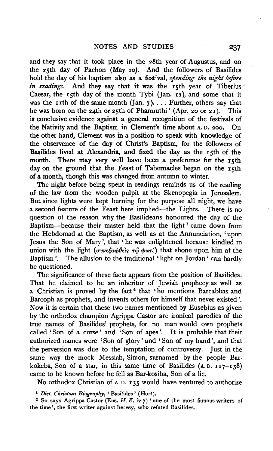and they say that it took place in the 28th year of Augustus, and on the 25th day of Pachon (May 20). And the followers of Basilides hold the day of his baptism also as a festival, *spending the night before in readings*. And they say that it was the 15th year of Tiberius Caesar, the 15th day of the month Tybi (Jan. 11), and some that it was the rith of the same month (Jan.  $7$ ).... Further, others say that he was born on the zath or zsth of Pharmuthi' (Apr. 20 or 21). This he was born on the 24th or 25th of Pharmuthi' (Apr. 20 or 21). is conclusive evidence against a general recognition of the festivals of the Nativity and the Baptism in Clement's time about A. D. 200. On the other hand, Clement was in a position to speak with knowledge of the observance of the day of Christ's Baptism, for the followers of Basilides lived at Alexandria, and fixed the day as the 15th of the month. There may very well have been a preference for the 15th There may very well have been a preference for the 15th day on the ground that the Feast of Tabernacles began on the 15th of a month, though this was changed from autumn to winter.

The night before being spent in readings reminds us of the reading of the law from the wooden pulpit at the Skenopegia in Jerusalem. But since lights were kept burning for the purpose all night, we have a second feature of the Feast here implied-the Lights. There is no question of the reason why the Basilideans honoured the day of the Baptism-because their master held that the light<sup>1</sup> came down from the Hebdomad at the Baptism, as well as at the Annunciation, 'upon Jesus the Son of Mary ', that 'he was enlightened because kindled in union with the light ( $\sigma$ vve $\xi$ a $\phi$ θείς  $\tau$ ώ φωτί) that shone upon him at the Baptism'. The allusion to the traditional 'light on Jordan' can hardly be questioned.

The significance of these facts appears from the position of Basilides. That he claimed to be an inheritor of Jewish prophecy as well as a Christian is proved by the fact<sup>2</sup> that 'he mentions Barcabbas and Barcoph as prophets, and invents others for himself that never existed'. Now it is certain that these two names mentioned by Eusebius as given by the orthodox champion Agrippa Castor are ironical parodies of the true names of Basilides' prophets, for no man would own prophets called 'Son of a curse' and 'Son of apes'. It is probable that their authorized names were 'Son of glory' and 'Son of my hand', and that the perversion was due to the temptation of controversy. Just in the same way the mock Messiah, Simon, surnamed by the people Barkokeba, Son of a star, in this same time of Basilides (A.D.  $117-138$ ) came to be known before he fell as Bar-kosiba, Son of a lie.

No orthodox Christian of A.D. 135 would have ventured to authorize

1 *Dict. Christian Biography,* 'Basilides' (Hort).<br><sup>2</sup> So says Agrippa Castor (Eus. H. E. iv 7) 'one of the most famous writers of the time', the first writer against heresy, who refuted Basilides.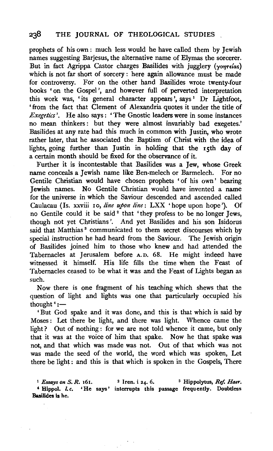prophets of his own : much less would he have called them by Jewish names suggesting Barjesus, the alternative name of Elymas the sorcerer. But in fact Agrippa Castor charges Basilides with jugglery ( $\gamma$ onreías) which is not far short of sorcery : here again allowance must be made for controversy. For on the other hand Basilides wrote twenty-four books 'on the Gospel', and however full of perverted interpretation this work was, 'its general character appears', says<sup>1</sup> Dr Lightfoot, 'from the fact that Clement of Alexandria quotes it under the title of *Exegetics* '. He also says: 'The Gnostic leaders were in some instances no mean thinkers : but they were almost invariably bad exegetes.' Basilides at any rate had this much in common with Justin, who wrote rather later, that he associated the Baptism of Christ with the idea of lights, going further than Justin in holding that the rsth day of a certain month should be fixed for the observance of it.

Further it is incontestable that Basilides was a Jew, whose Greek name conceals a Jewish name like Ben-melech or Barmelech. For no Gentile Christian would have chosen prophets 'of his own' bearing Jewish names. No Gentile Christian would have invented a name for the universe in which the Saviour descended and ascended called Caulacau (Is. xxviii 10, line upon line: LXX 'hope upon hope'). Of no Gentile could it be said<sup>2</sup> that 'they profess to be no longer Jews, though not yet Christians'. And yet Basilides and his son Isidorus said that Matthias<sup>3</sup> communicated to them secret discourses which by special instruction he had heard from the Saviour. The Jewish origin of Basilides joined him to those who knew and had attended the Tabernacles at Jerusalem before A. D. 68. He might indeed have witnessed it himself. His life fills the time when the Feast of Tabernacles ceased to be what it was and the Feast of Lights began as such.

Now there is one fragment of his teaching which shews that the question of light and lights was one that particularly occupied his thought  $4:$   $-$ 

' But God spake and it was done, and this is that which is said by Moses : Let there be light, and there was light. Whence came the light? Out of nothing: for we are not told whence it came, but only that it was at the voice of him that spake. Now he that spake was not, and that which was made was not. Out of that which was not was made the seed of the world, the word which was spoken, Let there be light : and this is that which is spoken in the Gospels, There

<sup>1</sup> Essays on S. R. 161. <sup>2</sup> Iren. i 24. 6. <sup>3</sup> Hippolytus, *Ref. Haer.* <sup>4</sup> Hippol. *l.c.* 'He says' interrupts this passage frequently. Doubtless Basilides is he.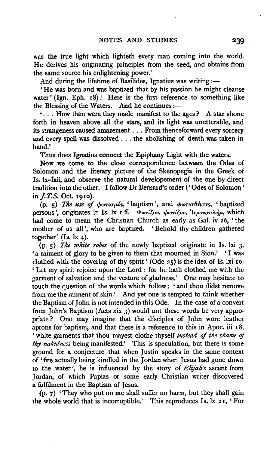was the true light which lighteth every man coming into the world. He derives his originating principles from the seed, and obtains from the same source his enlightening power.'

And during the lifetime of Basilides, Ignatius was writing :-

' He was born and was baptized that by his passion he might cleanse water' (Ign. Eph. 18)! Here is the first reference to something like the Blessing of the Waters. And he continues :-

 $\cdot$ ... How then were they made manifest to the ages ? A star shone forth in heaven above all the stars, and its light was unutterable, and its strangeness caused amazement ... From thenceforward every sorcery and every spell was dissolved . . . the abolishing of death was taken in hand.'

Thus does Ignatius connect the Epiphany Light with the waters.

Now we come to the close correspondence between the Odes of Solomon and the literary picture of the Skenopegia in the Greek of Is. lx-1xii, and observe the natural developement of the one by direct tradition into the other. I follow Dr Bernard's order (' Odes of Solomon' in  $I.T.S.$  Oct. 1910).

(p. 5) *The use of*  $\phi$ *wrtuption*, 'baptism', and  $\phi$ *wrtubers*, 'baptized persons', originates in Is. lx I ff.  $\Phi_{\omega\tau\zeta}(\omega)$ ,  $\phi_{\omega\tau\zeta}(\zeta_{\omega})$ , 'I<sub>Epovo</sub> a), which had come to mean the Christian Church as early as Gal. iv 26, 'the mother of us all', who are baptized. ' Behold thy children gathered together' (Is.  $\{x_4\}$ ).

(p. 5) *The white robes* of the newly baptized originate in Is. lxi 3, 'a raiment of glory to be given to them that mourned in Sion.' ' I was clothed with the covering of thy spirit' (Ode  $25$ ) is the idea of Is. lxi 10. ' Let my spirit rejoice upon the Lord : for he bath clothed me with the garment of salvation and the vesture of gladness.' One may hesitate to touch the question of the words which follow : 'and thou didst remove from me the raiment of skin.' And yet one is tempted to think whether the Baptism of John is not intended in this Ode. In the case of a convert from John's Baptism (Acts xix 3) would not these words be very appropriate ? One may imagine that the disciples of John wore leather aprons for baptism, and that there is a reference to this in Apoc. iii 18, ' white garments that thou mayest clothe thyself *instead* of *the shame* of *thy nakedness* being manifested.' This is speculation, but there is some ground for a conjecture that when Justin speaks in the same context of 'fire actually being kindled in the Jordan when Jesus had gone down to the water', he is influenced by the story of *Elijah's* ascent from Jordan, of which Papias or some early Christian writer discovered a fulfilment in the Baptism of Jesus.

 $(p, 7)$  'They who put on me shall suffer no harm, but they shall gain the whole world that is incorruptible.' This reproduces Is. lx 2 r, ' For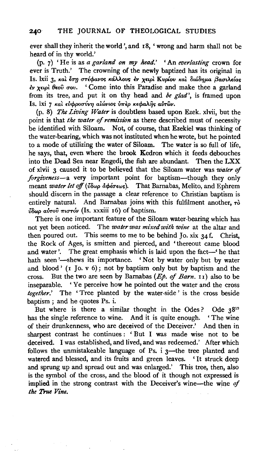ever shall they inherit the world', and 18, 'wrong and harm shall not be heard of in thy world.'

(p. 7) 'He is as *a garland on my head.'* 'An *everlasting* crown for ever is Truth.' The crowning of the newly baptized has its original in Is. lxii 3, και έση στέφανος κάλλους έν χειρι Κυρίου και διάδημα βασιλείας  $\partial$  χειρὶ θεοῦ σον. ' Come into this Paradise and make thee a garland from its tree, and put it on thy head and *be glad',* is framed upon Is. lxi 7 και εύφροσύνη αιώνιος υπερ κεφαλής αυτών.

(p. 8) *The Living Water* is doubtless based upon Ezek. xlvii, but the point is that *the water of remission* as there described must of necessity be identified with Siloam. Not, of course, that Ezekiel was thinking of the water-bearing, which was not instituted when he wrote, but he pointed to a mode of utilizing the water of Siloam. The water is so full of life, he says, that, even where the brook Kedron which it feeds debauches into the Dead Sea near Engedi, the fish are abundant. Then the LXX of xlvii 3 caused it to be believed that the Siloam water was *water* of *forgiveness-a* very important point for baptism-though they only meant *water let off* (*ὖ*δωρ ἀφέσεως). That Barnabas, Melito, and Ephrem should discern in the passage a clear reference to Christian baptism is entirely natural. And Barnabas joins with this fulfilment another,  $\tau$ ύδωρ αύτου πιστόν (Is. xxxiii 16) of baptism.

There is one important feature of the Siloam water-bearing which has not yet been noticed. The *water was mixed with wine* at the altar and then poured out. This seems to me to be behind Jo. xix 34f. Christ, the Rock of Ages, is smitten and pierced, and 'thereout came blood and water'. The great emphasis which is laid upon the fact—' he that hath seen '-shews its importance. 'Not by water only but by water and blood '  $(1$  Jo. v 6); not by baptism only but by baptism and the cross. But the two are seen by Barnabas (Ep. of *Barn.* 1 1) also to be inseparable. ' Ye perceive how he pointed out the water and the cross *together.'* The 'Tree planted by the water-side' is the cross beside baptism ; and he quotes Ps. i.

But where is there a similar thought in the Odes? Ode  $3^{8^{13}}$ has the single reference to wine. And it is quite enough. 'The wine of their drunkenness, who are deceived of the Deceiver.' And then in sharpest contrast he continues : ' But I was made wise not to be deceived. I was established, and lived, and was redeemed.' After which follows the unmistakeable language of Ps. i 3—the tree planted and watered and blessed, and its fruits and green leaves. ' It struck deep and sprung up and spread out and was enlarged.' This tree, then, also is the symbol of the cross, and the blood of it though not expressed is implied in the strong contrast with the Deceiver's wine-the wine of *the True Vine.*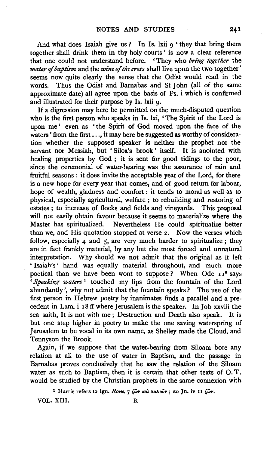And what does Isaiah give us? In Is. lxii 9 ' they that bring them together shall drink them in thy holy courts ' is now a clear reference that one could not understand before. 'They who *bring together* the *water* of *baptism* and the *wine* of *the cross* shall live upon the two together' seems now quite clearly the sense that the Odist would read in the words. Thus the Odist and Barnabas and St John (all of the same approximate date) all agree upon the basis of Ps. i which is confirmed and illustrated for their purpose by Is. lxii 9.

If a digression may here be permitted on the much-disputed question who is the first person who speaks in Is. lxi, 'The Spirit of the Lord is upon me' even as 'the Spirit of God moved upon the face of the waters' from the first ..., it may here be suggested as worthy of consideration whether the supposed speaker is neither the prophet nor the servant nor Messiah, but 'Siloa's brook' itself. It is anointed with healing properties by God ; it is sent for good tidings to the poor, since the ceremonial of water-bearing was the assurance of rain and fruitful seasons : it does invite the acceptable year of the Lord, for there is a new hope for every year that comes, and of good return for labour, hope of wealth, gladness and comfort : it tends to moral as well as to physical, especially agricultural, welfare ; to rebuilding and restoring of estates ; to increase of flocks and fields and vineyards. This proposal will not easily obtain favour because it seems to materialize where the Master has spiritualized. Nevertheless He could spiritualize better than we, and His quotation stopped at verse 2. Now the verses which follow, especially  $4$  and  $5$ , are very much harder to spiritualize; they are in fact frankly material, by any but the most forced and unnatural interpretation. Why should we not admit that the original as it left ' Isaiah's' hand was equally material throughout, and much more poetical than we have been wont to suppose? When Ode  $I I^6$  says *'Speaking waters* 1 touched my lips from the fountain of the Lord abundantly', why not admit that the fountain speaks? The use of the first person in Hebrew poetry by inanimates finds a parallel and a precedent in Lam. i 18 ff where Jerusalem is the speaker. In Job xxviii the sea saith, It is not with me; Destruction and Death also speak. It is but one step higher in poetry to make the one saving waterspring of Jerusalem to be vocal in its own name, as Shelley made the Cloud, and Tennyson the Brook.

Again, if we suppose that the water-bearing from Siloam bore any relation at all to the use of water in Baptism, and the passage in Barnabas proves conclusively that he saw the relation of the Siloam water as such to Baptism, then it is certain that other texts of 0. T. would be studied by the Christian prophets in the same connexion with

<sup>1</sup> Harris refers to Ign. Rom. 7 ζων και λαλούν; so Jn. iv 11 ζων. VOL. XIII. R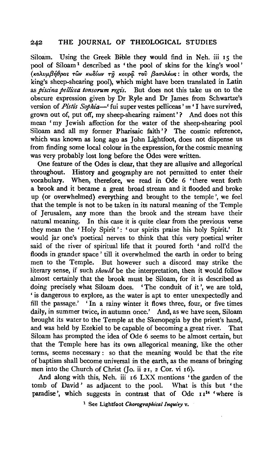Siloam. Using the Greek Bible they would find in Neh. iii 15 the pool of Siloam 1 described as ' the pool of skins for the king's wool' ( KOAvp.f3~Bpar; *Twv Kw8lwv TV Kovplj. Tov {3auU..lwt;* : in other words, the king's sheep-shearing pool), which might have been translated in Latin as *piscina pellicea tonsorum regis*. But does not this take us on to the obscure expression given by Dr Ryle and Dr James from Schwartze's version of *Pistis Sophia*—' fui super vestes pelliceas ' = ' I have survived, grown out of, put off, my sheep-shearing raiment'? And does not this mean ' my Jewish affection for the water of the sheep-shearing pool Siloam and all my former Pharisaic faith'? The cosmic reference, which was known as long ago as John Lightfoot, does not dispense us from finding some local colour in the expression, for the cosmic meaning was very probably lost long before the Odes were written.

One feature of the Odes is clear, that they are allusive and allegorical throughout. History and geography are not permitted to enter their vocabulary. When, therefore, we read in Ode 6 'there went forth a brook and it became a great broad stream and it flooded and broke up (or overwhelmed) everything and brought to the temple', we feel that the temple is not to be taken in its natural meaning of the Temple of Jerusalem, any more than the brook and the stream have their natural meaning. In this case it is quite clear from the previous verse they mean the 'Holy Spirit': 'our spirits praise his holy Spirit.' It would jar one's poetical nerves to think that this very poetical writer said of the river of spiritual life that it poured forth 'and roll'd the floods in grander space ' till it overwhelmed the earth in order to bring men to the Temple. But however such a discord may strike the literary sense, if such *skould* be the interpretation, then it would follow almost certainly that the brook must be Siloam, for it is described as doing precisely what Siloam does. 'The conduit of it ', we are told, ' is dangerous to explore, as the water is apt to enter unexpectedly and fill the passage.' 'In a rainy winter it flows three, four, or five times daily, in summer twice, in autumn once.' And, as we have seen, Siloam brought its water to the Temple at the Skenopegia by the priest's hand, and was held by Ezekiel to be capable of becoming a great river. That Siloam has prompted the idea of Ode 6 seems to be almost certain, but that the Temple here has its own allegorical meaning, like the other terms, seems necessary : so that the meaning would be that the rite of baptism shall become universal in the earth, as the means of bringing men into the Church of Christ (Jo. ii 21, 2 Cor. vi 16).

And along with this, Neh. iii 16 LXX mentions 'the garden of the tomb of David' as adjacent to the pool. What is this but 'the paradise', which suggests in contrast that of Ode  $II^1$  where is

<sup>1</sup> See Lightfoot *Chorographical Inquiry v.*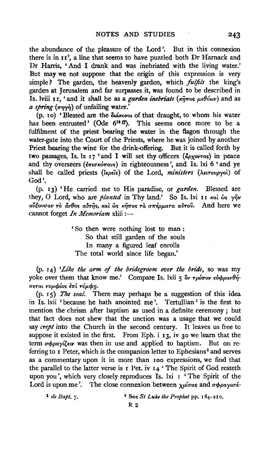the abundance of the pleasure of the Lord'. But in this connexion there is in 117, a line that seems to have puzzled both Dr Harnack and Dr Harris, 'And I drank and was inebriated with the living water.' But may we not suppose that the origin of this expression is very simple? The garden, the heavenly garden, which *fulfils* the king's garden at Jerusalem and far surpasses it, was found to be described in Is. lviii 11, 'and it shall be as a *garden inebriate* ( $\kappa \hat{\eta} \pi$ os  $\mu \epsilon \theta \hat{\nu} \omega \nu$ ) and as  $a$  spring  $(\pi m)$  of unfailing water.'

(p. 10) 'Blessed are the  $\delta$ *idkovot* of that draught, to whom his water has been entrusted' (Ode 6<sup>19 ff</sup>). This seems once more to be a fulfilment of the priest bearing the water in the flagon through the water-gate into the Court of the Priests, where he was joined by another Priest bearing the wine for the drink-offering. But it is called forth by two passages, Is. lx 17 'and I will set thy officers *(doxovras)* in peace and thy overseers  $(\epsilon_{\pi\mu\sigma\kappa\sigma\sigma\sigma\nu}s)$  in righteousness', and Is. lxi 6 'and ye shall be called priests *(iερείς)* of the Lord, *ministers* (λειτουργοί) of God<sup>'</sup>.

(p. 1 3) ' He carried me to His paradise, or *garden.* Blessed are they, O Lord, who are *planted* in Thy land.' So Is. lxi 11 kai ws yiv aύξουσαν τὸ *ἄνθ*ος αὐτῆς, καὶ ώς κῆπος τὰ σπέρματα αὐτοῦ. And here we cannot forget *In Memoriam* xliii :-

> ' So then were nothing lost to man : So that still garden of the souls In many a figured leaf enrolls The total world since life began.'

(p. 14) *'Like the arm* of *the bridegroom over the bride,* so was my yoke over them that know me.' Compare Is. lxii 5 <sup>δν</sup> τρόπον εὐφρανθή-*CT£Tat vvp.cp{os* l'IT~ *v-6p.cpy.* 

(p. 15) The *seal.* There may perhaps be a suggestion of this idea in Is. lxii 'because he hath anointed me'. Tertullian<sup>1</sup> is the first to mention the chrism after baptism as used in a definite ceremony ; but that fact does not shew that the unction was a usage that we could say *crept* into the Church in the second century. It leaves us free to suppose it existed in the first. From Eph.  $i$   $i$   $j$ , iv 30 we learn that the term  $\sigma \phi \rho \alpha \gamma \ell \epsilon \nu$  was then in use and applied to baptism. But on referring to 1 Peter, which is the companion letter to Ephesians<sup>2</sup> and serves as a commentary upon it in more than roo expressions, we find that the parallel to the latter verse is  $r$  Pet. iv  $r_4$  ' The Spirit of God resteth upon you', which very closely reproduces Is. lxi r 'The Spirit of the Lord is upon me'. The close connexion between *χρίσας* and *σφραγισά-*

<sup>1</sup> de Bapt. <sup>7</sup>. <sup>2</sup> See *St Luke the Prophet* pp. 184-210.  $R<sub>2</sub>$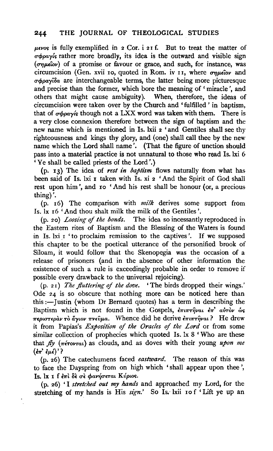$\mu \epsilon \nu$ os is fully exemplified in  $2$  Cor. i  $2I$  f. But to treat the matter of *ucppay[,.* rather more broadly, its idea is the outward and visible sign  $(\sigma\eta\mu\epsilon\hat{i}\omega v)$  of a promise or favour or grace, and such, for instance, was circumcision (Gen. xvii 10, quoted in Rom. iv 11, where  $\sigma\eta\mu\epsilon\hat{i}\sigma\nu$  and *ucppay'i8a* are interchangeable terms, the latter being more picturesque and precise than the former, which bore the meaning of ' miracle ', and others that might cause ambiguity). When, therefore, the ideas of circumcision were taken over by the Church and 'fulfilled ' in baptism, that of  $\sigma \phi \rho a \gamma$ 's though not a LXX word was taken with them. There is a very close connexion therefore between the sign of baptism and the new name which is mentioned in Is. lxii 2 ' and Gentiles shall see thy righteousness and kings thy glory, and (one} shall call thee by the new name which the Lord shall name'. (That the figure of unction should pass into a material practice is not unnatural to those who read Is. lxi 6 ' Ye shall be called priests of the Lord '.}

(p. 13} The idea of *rest in baptism* flows naturally from what has been said of Is. lxi I taken with Is. xi 2 'And the Spirit of God shall rest upon him', and 10 'And his rest shall be honour (or, a precious thing)'.

(p. I6} The comparison with *milk* derives some support from Is. Ix r6 'And thou shalt milk the milk of the Gentiles'.

(p. 20) *Loosing of the bonds.* The idea so incessantly reproduced in the Eastern rites of Baptism and the Blessing of the Waters is found in Is. lxi I 'to proclaim remission to the captives'. If we supposed this chapter to be the poetical utterance of the personified brook of Siloam, it would follow that the Skenopegia was the occasion of a release of prisoners (and in the absence of other information the existence of such a rule is exceedingly probable in order to remove if possible every drawback to the universal rejoicing).

(p. 21) *The fluttering of the dove.* 'The birds dropped their wings.' Ode 24 is so obscure that nothing more can be noticed here than this :-Justin (whom Dr Bernard quotes) has a term in describing the Baptism which is not found in the Gospels,  $\epsilon \pi i \pi \tau \hat{\eta}$ vat  $\epsilon \pi'$  av $\tau \delta \nu$   $\omega$ s *'11'£ptcTnpav* TO *aywv 7rV£vp..a.* Whence did he derive *.1'11't'71'7'1jvat* ? He drew it from Papias's *Exposition of the Oracles of the Lord* or from some similar collection of prophecies which quoted Is. lx 8 'Who are these that  $f\npsi$  ( $\pi \epsilon$ rovrat) as clouds, and as doves with their young  $\mu$ *pon me*  $(\epsilon \pi' \epsilon \mu \epsilon)'$ ?

(p. 26) The catechumens faced *eastward.* The reason of this was to face the Dayspring from on high which 'shall appear upon thee ', Is. lx 1 f επι δε σε φανήσεται Κύριος.

(p. 26) ' I *stretched out my hands* and approached my Lord, for the stretching of my hands is His *sign.*' So Is. lxii ro f 'Lift ye up an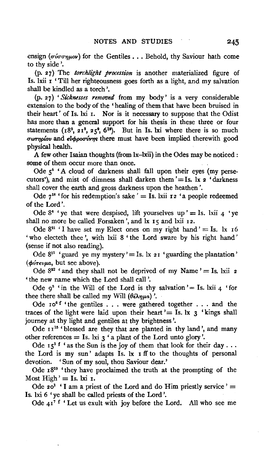ensign (σύσσημον) for the Gentiles . . . Behold, thy Saviour hath come to thy side'.

(p. 27) The *torchlight procession* is another materialized figure of Is. lxii r ' Till her righteousness goes forth as a light, and my salvation shall be kindled as a torch'.

(p. 27) *'Sickmsses removed* from my body' is a very considerable extension to the body of the ' healing of them that have been bruised in their heart' of Is. lxi I. Nor is it necessary to suppose that the Odist has more than a general support for his thesis in these three or four statements  $(18^3, 21^3, 25^9, 6^{10})$ . But in Is. lxi where there is so much *ullYrrJptov* and *&cppocrWq<;* there must have been implied therewith good physical health.

A few other Isaian thoughts {from lx-lxii) in the Odes may be noticed : some of them occur more than once.

Ode  $5^6$  'A cloud of darkness shall fall upon their eyes (my persecutors'), and mist of dimness shall darken them  $'=$ Is. lx 2 'darkness shall cover the earth and gross darkness upon the heathen'.

Ode  $7^{18}$  'for his redemption's sake ' = Is. lxii 12 'a people redeemed of the Lord '.

Ode 8<sup>6</sup> 'ye that were despised, lift yourselves up ' = Is. lxii 4 'ye shall no more be called Forsaken', and lx 15 and lxii 12.

Ode  $8^{21}$  'I have set my Elect ones on my right hand ' = Is. lx 16 ' who electeth thee ', with lxii 8 ' the Lord sware by his right hand' (sense if not also reading).

Ode  $8^{11}$  'guard ye my mystery'= Is. lx 21 'guarding the plantation' *(cpvTEvp.a,* but see above).

Ode  $8^{22}$  'and they shall not be deprived of my Name ' = Is. lxii 2 ' the new name which the Lord shall call '.

Ode  $9^3$  ' in the Will of the Lord is thy salvation ' = Is. lxii 4 ' for thee there shall be called my Will  $(\theta \hat{\epsilon} \lambda \eta \mu a)'$ .

Ode  $10^{6}$  f 'the gentiles . . . were gathered together . . . and the traces of the light were laid upon their heart'= Is. lx  $\beta$  'kings shall journey at thy light and gentiles at thy brightness '.

Ode  $11^{15}$  'blessed are they that are planted in thy land', and many other references  $=$  Is. lxi 3 'a plant of the Lord unto glory'.

Ode  $15^1$  f 'as the Sun is the joy of them that look for their day ... the Lord is my sun' adapts Is. lx 1 ff to the thoughts of personal devotion. 'Sun of my soul, thou Saviour dear.'

Ode 1819 'they have proclaimed the truth at the prompting of the Most High' = Is. lxi  $\mathbf{I}$ .

Ode 20<sup>1</sup> ' I am a priest of the Lord and do Him priestly service'  $=$ Is. lxi 6 'ye shall be called priests of the Lord'.

Ode  $41^7$  f 'Let us exult with joy before the Lord. All who see me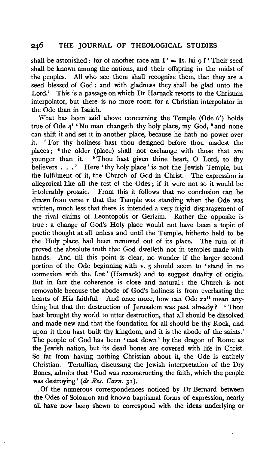shall be astonished : for of another race am  $I' = I_s$ . lxi 9 f 'Their seed shall be known among the nations, and their offspring in the midst of the peoples. All who see them shall recognize them, that they are a seed blessed of God: and with gladness they shall be glad unto the Lord.' This is a passage on which Dr Hamack resorts to the Christian interpolator, but there is no more room for a Christian interpolator in the Ode than in Isaiah.

What has been said above concerning the Temple (Ode 6<sup>8</sup>) holds true of Ode 41 'No man changeth thy holy place, my God, 2 and none can shift it and set it in another place, because he hath no power over it. 8 For thy holiness hast thou designed before thou madest the places; 4 the older (place) shall not exchange with those that are younger than it. <sup>6</sup> Thou hast given thine heart, O Lord, to thy believers . . . ' Here 'thy holy place' is not the Jewish Temple, but the fulfilment of it, the Church of God in Christ. The expression is allegorical like all the rest of the Odes ; if it were not so it would be intolerably prosaic. From this it follows that no conclusion can be drawn from verse  $I$  that the Temple was standing when the Ode was written, much less that there is intended a very frigid disparagement of the rival claims of Leontopolis or Gerizim. Rather the opposite is true : a change of God's Holy place would not have been a topic of poetic thought at all unless and until the Temple, hitherto held to be the Holy place, had been removed out of its place. The ruin of it proved the absolute truth that God dwelleth not in temples made with hands. And till this point is clear, no wonder if the larger second portion of the Ode beginning with v. 5 should seem to 'stand in no connexion with the first' (Harnack) and to suggest duality of origin. But in fact the coherence is close and natural: the Church is not removable because the abode of God's holiness is from everlasting the hearts of His faithful. And once more, how can Ode  $22<sup>11</sup>$  mean anything but that the destruction of Jerusalem was past already? ' Thou hast brought thy world to utter destruction, that all should be dissolved and made new and that the foundation for all should be thy Rock, and upon it thou hast built thy kingdom, and it is the abode of the saints.' The people of God has been 'cast down' by the dragon of Rome as the Jewish nation, but its dead bones are covered with life in Christ. So far from having nothing Christian about it, the Ode is entirely Christian. Tertullian, discussing the Jewish interpretation of the Dry Bones, admits that 'God was reconstructing the faith, which the people was destroying' (de Res. Carn. 31).

Of the numerous correspondences noticed by Dr Bernard between the Odes of Solomon and known baptismal forms of expression, nearly all have now been shewn to correspond with the ideas underlying or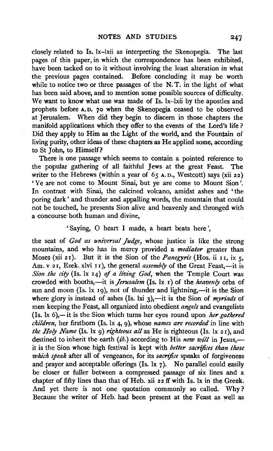closely related to Is. lx-lxii as interpreting the Skenopegia. The last pages of this paper, in which the correspondence has been exhibited, have been tacked on to it without involving the least alteration in what the previous pages contained. Before concluding it may be worth while to notice two or three passages of the N.T. in the light of what has been said above, and to mention some possible sources of difficulty. We want to know what use was made of Is. Ix-lxii by the apostles and prophets before A.D. 70 when the Skenopegia ceased to be observed at Jerusalem. When did they begin to discern in those chapters the manifold applications which they offer to the events of the Lord's life ? Did they apply to Him as the Light of the world, and the Fountain of living purity, other ideas of these chapters as He applied some, according to St John, to Himself?

There is one passage which seems to contain a pointed reference to the popular gathering of all faithful Jews at the great Feast. The writer to the Hebrews (within a year of 65 A.D., Westcott) says (xii 22) 'Ye are not come to Mount Sinai, but ye are come to Mount Sion'. In contrast with Sinai, the calcined volcano, amidst ashes and ' the poring dark' and thunder and appalling words, the mountain that could not be touched, he presents Sion alive and heavenly and thronged with a concourse both human and divine,

## ' Saying, 0 heart I made, a heart beats here ',

the seat of *God as universal Judge,* whose justice is like the strong mountains, and who has in mercy provided a *mediator* greater than Moses (xii 21). But it is the Sion of the *Panegyris* (Hos. ii 11, ix 5, Am. v 21, Ezek. xlvi 11), the general *assembly* of the Great Feast,—it is *Sion the city* (Is. lx 14) *of a living God,* when the Temple Court was crowded with booths,-it is *Jerusalem* (Is. lx 1) of the *heavenly* orbs of sun and moon (Is. lx 19), not of thunder and lightning,-it is the Sion where glory is instead of ashes (Is. lxi 3),—it is the Sion of *myriads* of men keeping the Feast, all organized into obedient *angels* and evangelists  $(I_s. \, Ix\ 6)$ , - it is the Sion which turns her eyes round upon *her gathered children,* her firstborn (Is.lx 4, g), whose *names are recorded* in line with *the Holy Name* (Is. lx 9) *righteous all* as He is righteous (Is. lx 21), and destined to inherit the earth (ib.) according to His new will in Jesus,it is the Sion whose high festival is kept with *better sacrifices than those which speak* after all of vengeance, for its *sacrifice* speaks of forgiveness and prayer and acceptable offerings  $(I_s. 1x_7)$ . No parallel could easily be closer or fuller between a compressed passage of six lines and a chapter of fifty lines than that of Heb. xii 22 ff with Is. lx in the Greek. And yet there is not one quotation commonly so called. Why? Because the writer of Heb. had been present at the Feast as well as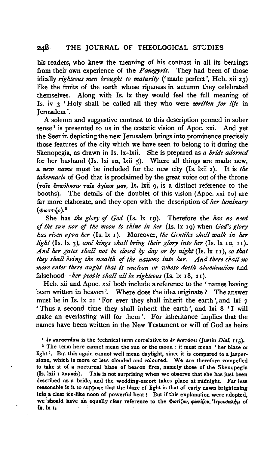his readers, who knew the meaning of his contrast in all its bearings from their own experience of the *Panegyris*. They had been of those ideally *righteous men brought to maturity* ('made perfect', Heb. xii 23) like the fruits of the earth whose ripeness in autumn they celebrated themselves. Along with Is. lx they would feel the full meaning of Is. iv 3 'Holy shall be called all they who were *written for life* in Jerusalem'.

A solemn and suggestive contrast to this description penned in sober sense<sup>1</sup> is presented to us in the ecstatic vision of Apoc. xxi. And yet the Seer in depicting the new Jerusalem brings into prominence precisely those features of the city which we have seen to belong to it during the Skenopegia, as drawn in Is. lx-lxii. She is prepared as *a bride adorned*  for her husband {Is. lxi IO, lxii s). Where all things are made new, a *new name* must be included for the new city {Is. lxii 2). It is *the tabemacle* of God that is proclaimed by the great voice out of the throne { TC:t'i:~ *l1ra-6>..Eutv* Ta'i:~ U.y{at~ *p.ov,* Is. lxii 9, is a distinct reference to the booths). The details of the doublet of this vision (Apoc. xxi 10) are far more elaborate, and they open with the description of *her luminary*  ( *cpwCTT'I]p* ). 2

She has *the glory of God* (Is. lx 19). Therefore she *has no need* of *the sun nor* of *the moon to shine in ker* (Is. lx 19) when *God's glory has n"sen upon her* (Is. lx 1 ). Moreover, *the Gentiles shall walk in her light* (Is. lx 3), *and kings shall bring their glory into ker* (Is. lx Io, 11). *And her gates shall not be closed by day or by night* (Is. lx 11), *so that they shall bring the wealth of the nations into her. And there shall no more enter there aught that is unclean or wkoso doeth abomination* and falsehood—*her people shall all be righteous* (Is. lx 18, 21).

Heb. xii and Apoc. xxi both include a reference to the ' names having been written in heaven'. Where does the idea originate ? The answer must be in Is. lx 21 'For ever they shall inherit the earth', and lxi 7 ' Thus a second time they shall inherit the earth', and lxi 8 'I will make an everlasting will for them'. For inheritance implies that the names have been written in the New Testament or will of God as heirs

<sup>1</sup> iv *kataotáoel* is the technical term correlative to iv *ikotáoel* (Justin Dial. 115).

<sup>2</sup> The term here cannot mean the sun or the moon : it must mean 'her blaze or light '. But this again cannot well mean daylight, since it is compared to a jasperstone, which is more or less clouded and coloured. We are therefore compelled to take it of a nocturnal blaze of beacon fires, namely those of the Skenopegia (Is.  $\lambda$ xii 1  $\lambda$ a $\mu$  $\pi$ ás). This is not surprising when we observe that she has just been described as a bride, and the wedding.escort takes place at midnight. Far less reasonable is it to suppose that the blaze of light is that of early dawn brightening into a clear ice-like noon of powerful heat ! But if this explanation were adopted, we should have an equally clear reference to the Φωτίζου, φωτίζου, Ιερουσαλήμ of  $I<sub>s</sub>$ .